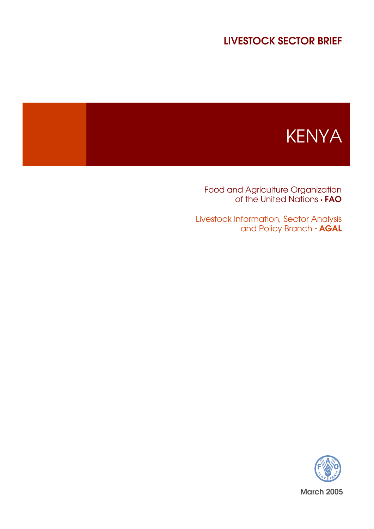# LIVESTOCK SECTOR BRIEF



Food and Agriculture Organization of the United Nations  $\cdot$  **FAO** 

Livestock Information, Sector Analysis and Policy Branch  $\cdot$  AGAL

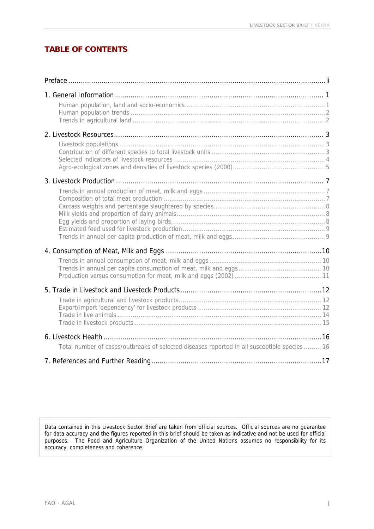# **TABLE OF CONTENTS**

| Total number of cases/outbreaks of selected diseases reported in all susceptible species  16 |  |
|----------------------------------------------------------------------------------------------|--|
|                                                                                              |  |

Data contained in this Livestock Sector Brief are taken from official sources. Official sources are no guarantee for data accuracy and the figures reported in this brief should be taken as indicative and not be used for official purposes. The Food and Agriculture Organization of the United Nations assumes no responsibility for its accuracy, completeness and coherence.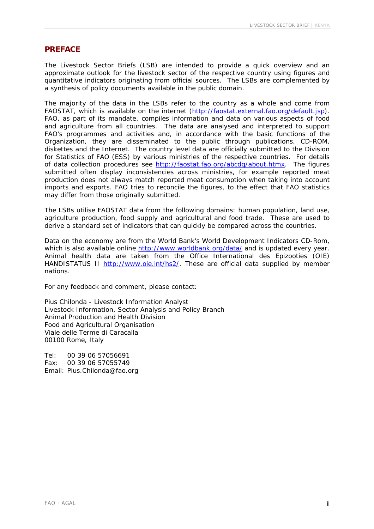#### **PREFACE**

The Livestock Sector Briefs (LSB) are intended to provide a quick overview and an approximate outlook for the livestock sector of the respective country using figures and quantitative indicators originating from official sources. The LSBs are complemented by a synthesis of policy documents available in the public domain.

The majority of the data in the LSBs refer to the country as a whole and come from FAOSTAT, which is available on the internet (<http://faostat.external.fao.org/default.jsp>). FAO, as part of its mandate, compiles information and data on various aspects of food and agriculture from all countries. The data are analysed and interpreted to support FAO's programmes and activities and, in accordance with the basic functions of the Organization, they are disseminated to the public through publications, CD-ROM, diskettes and the Internet. The country level data are officially submitted to the Division for Statistics of FAO (ESS) by various ministries of the respective countries. For details of data collection procedures see [http://faostat.fao.org/abcdq/about.htmx.](http://faostat.fao.org/abcdq/about.htmx) The figures submitted often display inconsistencies across ministries, for example reported meat production does not always match reported meat consumption when taking into account imports and exports. FAO tries to reconcile the figures, to the effect that FAO statistics may differ from those originally submitted.

The LSBs utilise FAOSTAT data from the following domains: human population, land use, agriculture production, food supply and agricultural and food trade. These are used to derive a standard set of indicators that can quickly be compared across the countries.

Data on the economy are from the World Bank's World Development Indicators CD-Rom, which is also available online <http://www.worldbank.org/data/>and is updated every year. Animal health data are taken from the Office International des Epizooties (OIE) HANDISTATUS II [http://www.oie.int/hs2/.](http://www.oie.int/hs2/) These are official data supplied by member nations.

For any feedback and comment, please contact:

Pius Chilonda - Livestock Information Analyst Livestock Information, Sector Analysis and Policy Branch Animal Production and Health Division Food and Agricultural Organisation Viale delle Terme di Caracalla 00100 Rome, Italy

Tel: 00 39 06 57056691 Fax: 00 39 06 57055749 Email: Pius.Chilonda@fao.org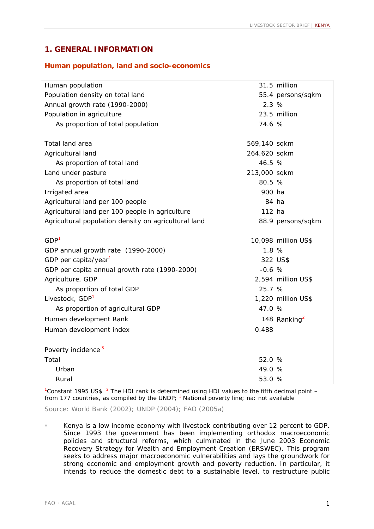### **1. GENERAL INFORMATION**

#### **Human population, land and socio-economics**

| Human population                                     |              | 31.5 million             |
|------------------------------------------------------|--------------|--------------------------|
| Population density on total land                     |              | 55.4 persons/sqkm        |
| Annual growth rate (1990-2000)                       | 2.3%         |                          |
| Population in agriculture                            |              | 23.5 million             |
| As proportion of total population                    | 74.6 %       |                          |
|                                                      |              |                          |
| Total land area                                      | 569,140 sqkm |                          |
| Agricultural land                                    | 264,620 sqkm |                          |
| As proportion of total land                          | 46.5 %       |                          |
| Land under pasture                                   | 213,000 sqkm |                          |
| As proportion of total land                          | 80.5 %       |                          |
| Irrigated area                                       | 900 ha       |                          |
| Agricultural land per 100 people                     | 84 ha        |                          |
| Agricultural land per 100 people in agriculture      | 112 ha       |                          |
| Agricultural population density on agricultural land |              | 88.9 persons/sqkm        |
| GDP <sup>1</sup>                                     |              |                          |
|                                                      |              | 10,098 million US\$      |
| GDP annual growth rate (1990-2000)                   | 1.8 %        |                          |
| GDP per capita/year <sup>1</sup>                     |              | 322 US\$                 |
| GDP per capita annual growth rate (1990-2000)        | $-0.6$ %     |                          |
| Agriculture, GDP                                     |              | 2,594 million US\$       |
| As proportion of total GDP                           | 25.7 %       |                          |
| Livestock, GDP <sup>1</sup>                          |              | 1,220 million US\$       |
| As proportion of agricultural GDP                    | 47.0 %       |                          |
| Human development Rank                               |              | 148 Ranking <sup>2</sup> |
| Human development index                              | 0.488        |                          |
| Poverty incidence <sup>3</sup>                       |              |                          |
| Total                                                | 52.0 %       |                          |
| Urban                                                | 49.0 %       |                          |
| Rural                                                | 53.0 %       |                          |
|                                                      |              |                          |

<sup>1</sup> Constant 1995 US\$  $^{-2}$  The HDI rank is determined using HDI values to the fifth decimal point  $$ from 177 countries, as compiled by the UNDP;  $3$  National poverty line; na: not available

Source: World Bank (2002); UNDP (2004); FAO (2005a)

Kenya is a low income economy with livestock contributing over 12 percent to GDP. Since 1993 the government has been implementing orthodox macroeconomic policies and structural reforms, which culminated in the June 2003 Economic Recovery Strategy for Wealth and Employment Creation (ERSWEC). This program seeks to address major macroeconomic vulnerabilities and lays the groundwork for strong economic and employment growth and poverty reduction. In particular, it intends to reduce the domestic debt to a sustainable level, to restructure public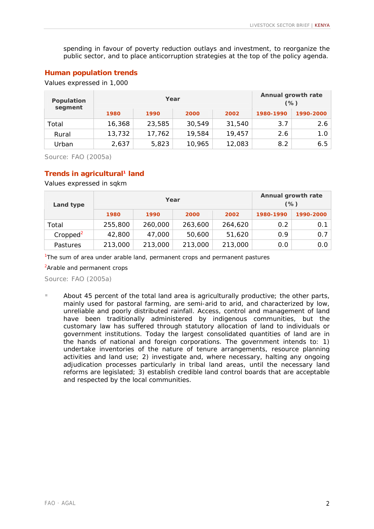spending in favour of poverty reduction outlays and investment, to reorganize the public sector, and to place anticorruption strategies at the top of the policy agenda.

#### **Human population trends**

Values expressed in 1,000

| Population<br>segment |        | Year   |        | Annual growth rate<br>$(\%)$ |           |           |
|-----------------------|--------|--------|--------|------------------------------|-----------|-----------|
|                       | 1980   | 1990   | 2000   | 2002                         | 1980-1990 | 1990-2000 |
| Total                 | 16,368 | 23,585 | 30,549 | 31,540                       | 3.7       | 2.6       |
| Rural                 | 13,732 | 17,762 | 19,584 | 19,457                       | 2.6       | 1.0       |
| Urban                 | 2,637  | 5,823  | 10,965 | 12,083                       | 8.2       | 6.5       |

Source: FAO (2005a)

#### **Trends in agricultural1 land**

Values expressed in sqkm

| Land type            |         | Year    | Annual growth rate<br>$(\%)$ |         |           |           |
|----------------------|---------|---------|------------------------------|---------|-----------|-----------|
|                      | 1980    | 1990    | 2000                         | 2002    | 1980-1990 | 1990-2000 |
| Total                | 255,800 | 260,000 | 263,600                      | 264,620 | 0.2       | 0.1       |
| Cropped <sup>2</sup> | 42,800  | 47,000  | 50,600                       | 51,620  | 0.9       | 0.7       |
| Pastures             | 213,000 | 213,000 | 213,000                      | 213,000 | 0.0       | 0.0       |

<sup>1</sup>The sum of area under arable land, permanent crops and permanent pastures

<sup>2</sup>Arable and permanent crops

Source: FAO (2005a)

! About 45 percent of the total land area is agriculturally productive; the other parts, mainly used for pastoral farming, are semi-arid to arid, and characterized by low, unreliable and poorly distributed rainfall. Access, control and management of land have been traditionally administered by indigenous communities, but the customary law has suffered through statutory allocation of land to individuals or government institutions. Today the largest consolidated quantities of land are in the hands of national and foreign corporations. The government intends to: 1) undertake inventories of the nature of tenure arrangements, resource planning activities and land use; 2) investigate and, where necessary, halting any ongoing adjudication processes particularly in tribal land areas, until the necessary land reforms are legislated; 3) establish credible land control boards that are acceptable and respected by the local communities.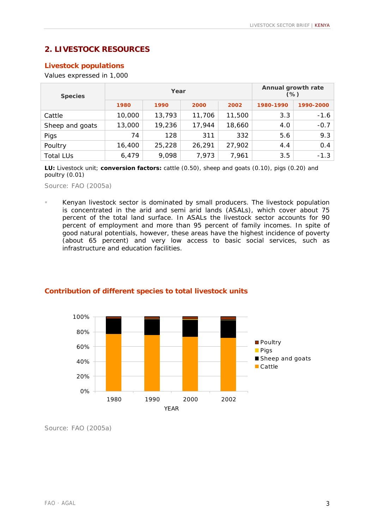# **2. LIVESTOCK RESOURCES**

### **Livestock populations**

Values expressed in 1,000

| <b>Species</b>   |        | Year   | Annual growth rate<br>$(\%)$ |        |           |           |
|------------------|--------|--------|------------------------------|--------|-----------|-----------|
|                  | 1980   | 1990   | 2000                         | 2002   | 1980-1990 | 1990-2000 |
| Cattle           | 10,000 | 13,793 | 11,706                       | 11,500 | 3.3       | -1.6      |
| Sheep and goats  | 13,000 | 19,236 | 17,944                       | 18,660 | 4.0       | $-0.7$    |
| Pigs             | 74     | 128    | 311                          | 332    | 5.6       | 9.3       |
| Poultry          | 16,400 | 25,228 | 26,291                       | 27,902 | 4.4       | 0.4       |
| <b>Total LUs</b> | 6,479  | 9,098  | 7,973                        | 7,961  | 3.5       | $-1.3$    |

**LU:** *Livestock unit*; **conversion factors:** cattle (0.50), sheep and goats (0.10), pigs (0.20) and poultry (0.01)

Source: FAO (2005a)

Kenyan livestock sector is dominated by small producers. The livestock population is concentrated in the arid and semi arid lands (ASALs), which cover about 75 percent of the total land surface. In ASALs the livestock sector accounts for 90 percent of employment and more than 95 percent of family incomes. In spite of good natural potentials, however, these areas have the highest incidence of poverty (about 65 percent) and very low access to basic social services, such as infrastructure and education facilities.



#### **Contribution of different species to total livestock units**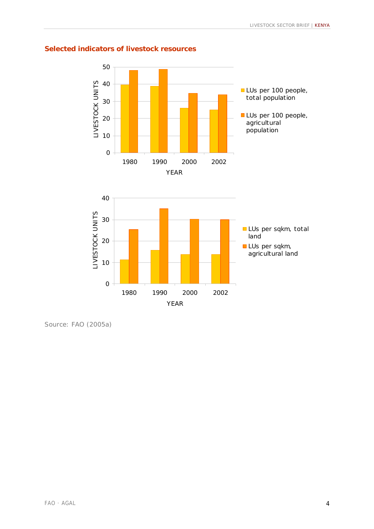### **Selected indicators of livestock resources**

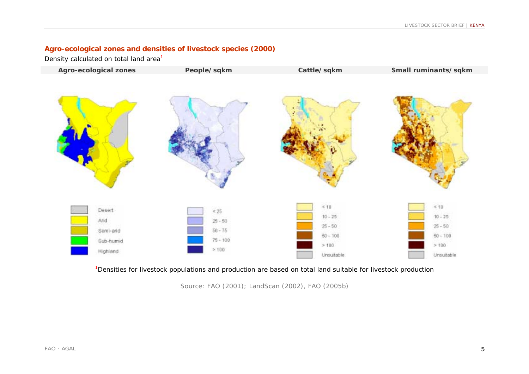### **Agro-ecological zones and densities of livestock species (2000)**

Density calculated on total land area<sup>1</sup>



<sup>1</sup>Densities for livestock populations and production are based on total land suitable for livestock production

Source: FAO (2001); LandScan (2002), FAO (2005b)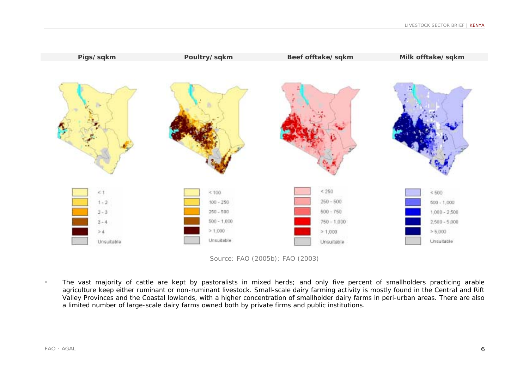

Source: FAO (2005b); FAO (2003)

! The vast majority of cattle are kept by pastoralists in mixed herds; and only five percent of smallholders practicing arable agriculture keep either ruminant or non-ruminant livestock. Small-scale dairy farming activity is mostly found in the Central and Rift Valley Provinces and the Coastal lowlands, with a higher concentration of smallholder dairy farms in peri-urban areas. There are also a limited number of large-scale dairy farms owned both by private firms and public institutions.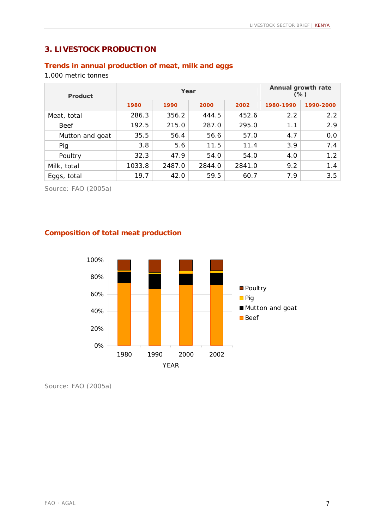# **3. LIVESTOCK PRODUCTION**

### **Trends in annual production of meat, milk and eggs**

1,000 metric tonnes

| Product         |        | Year   | Annual growth rate<br>$(\%)$ |        |           |           |
|-----------------|--------|--------|------------------------------|--------|-----------|-----------|
|                 | 1980   | 1990   | 2000                         | 2002   | 1980-1990 | 1990-2000 |
| Meat, total     | 286.3  | 356.2  | 444.5                        | 452.6  | 2.2       | 2.2       |
| <b>Beef</b>     | 192.5  | 215.0  | 287.0                        | 295.0  | 1.1       | 2.9       |
| Mutton and goat | 35.5   | 56.4   | 56.6                         | 57.0   | 4.7       | 0.0       |
| Pig             | 3.8    | 5.6    | 11.5                         | 11.4   | 3.9       | 7.4       |
| Poultry         | 32.3   | 47.9   | 54.0                         | 54.0   | 4.0       | 1.2       |
| Milk, total     | 1033.8 | 2487.0 | 2844.0                       | 2841.0 | 9.2       | 1.4       |
| Eggs, total     | 19.7   | 42.0   | 59.5                         | 60.7   | 7.9       | 3.5       |

Source: FAO (2005a)

### **Composition of total meat production**

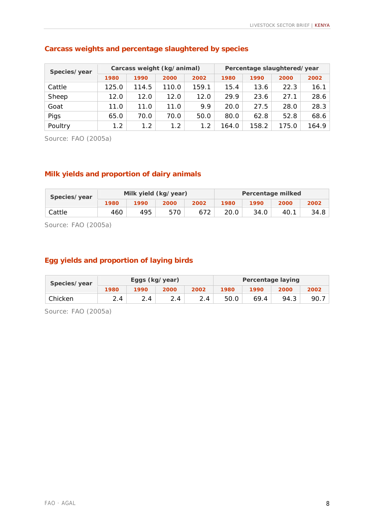| Species/year |       | Carcass weight (kg/animal) |       |       | Percentage slaughtered/year |       |       |       |
|--------------|-------|----------------------------|-------|-------|-----------------------------|-------|-------|-------|
|              | 1980  | 1990                       | 2000  | 2002  | 1980                        | 1990  | 2000  | 2002  |
| Cattle       | 125.0 | 114.5                      | 110.0 | 159.1 | 15.4                        | 13.6  | 22.3  | 16.1  |
| Sheep        | 12.0  | 12.0                       | 12.0  | 12.0  | 29.9                        | 23.6  | 27.1  | 28.6  |
| Goat         | 11.0  | 11.0                       | 11.0  | 9.9   | 20.0                        | 27.5  | 28.0  | 28.3  |
| Pigs         | 65.0  | 70.0                       | 70.0  | 50.0  | 80.0                        | 62.8  | 52.8  | 68.6  |
| Poultry      | 1.2   | 1.2                        | 1.2   | 1.2   | 164.0                       | 158.2 | 175.0 | 164.9 |

### **Carcass weights and percentage slaughtered by species**

Source: FAO (2005a)

### **Milk yields and proportion of dairy animals**

| Species/year |      |      | Milk yield (kg/year) |      | Percentage milked |      |      |      |
|--------------|------|------|----------------------|------|-------------------|------|------|------|
|              | 1980 | 1990 | 2000                 | 2002 | 1980              | 1990 | 2000 | 2002 |
| Cattle       | 460  | 495  | 570                  | 672  | 20.0              | 34.0 | 40.7 | 34.8 |

Source: FAO (2005a)

### **Egg yields and proportion of laying birds**

| Species/year |      | Eggs (kg/year) |      |      | Percentage laying |      |      |      |
|--------------|------|----------------|------|------|-------------------|------|------|------|
|              | 1980 | 1990           | 2000 | 2002 | 1980              | 1990 | 2000 | 2002 |
| Chicken      | 2.4  |                |      | 2.4  | 50.0              | 69.4 | 94.3 | 90.  |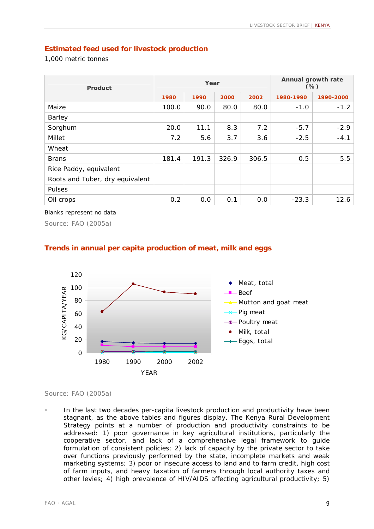### **Estimated feed used for livestock production**

1,000 metric tonnes

| <b>Product</b>                  |       | Year  | Annual growth rate<br>$(\%)$ |       |           |           |
|---------------------------------|-------|-------|------------------------------|-------|-----------|-----------|
|                                 | 1980  | 1990  | 2000                         | 2002  | 1980-1990 | 1990-2000 |
| Maize                           | 100.0 | 90.0  | 80.0                         | 80.0  | $-1.0$    | $-1.2$    |
| Barley                          |       |       |                              |       |           |           |
| Sorghum                         | 20.0  | 11.1  | 8.3                          | 7.2   | $-5.7$    | $-2.9$    |
| Millet                          | 7.2   | 5.6   | 3.7                          | 3.6   | $-2.5$    | $-4.1$    |
| Wheat                           |       |       |                              |       |           |           |
| <b>Brans</b>                    | 181.4 | 191.3 | 326.9                        | 306.5 | 0.5       | 5.5       |
| Rice Paddy, equivalent          |       |       |                              |       |           |           |
| Roots and Tuber, dry equivalent |       |       |                              |       |           |           |
| Pulses                          |       |       |                              |       |           |           |
| Oil crops                       | 0.2   | 0.0   | 0.1                          | 0.0   | $-23.3$   | 12.6      |

#### Blanks represent no data

Source: FAO (2005a)



#### **Trends in annual per capita production of meat, milk and eggs**

#### Source: FAO (2005a)

In the last two decades per-capita livestock production and productivity have been stagnant, as the above tables and figures display. The Kenya Rural Development Strategy points at a number of production and productivity constraints to be addressed: 1) poor governance in key agricultural institutions, particularly the cooperative sector, and lack of a comprehensive legal framework to guide formulation of consistent policies; 2) lack of capacity by the private sector to take over functions previously performed by the state, incomplete markets and weak marketing systems; 3) poor or insecure access to land and to farm credit, high cost of farm inputs, and heavy taxation of farmers through local authority taxes and other levies; 4) high prevalence of HIV/AIDS affecting agricultural productivity; 5)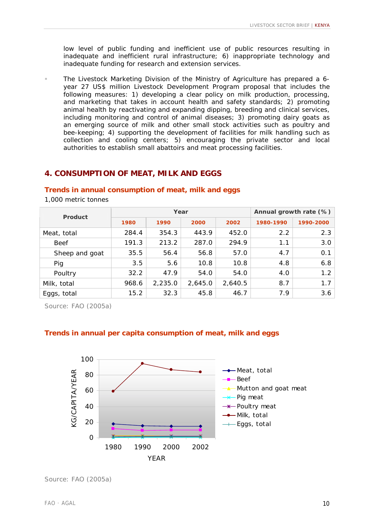low level of public funding and inefficient use of public resources resulting in inadequate and inefficient rural infrastructure; 6) inappropriate technology and inadequate funding for research and extension services.

! The Livestock Marketing Division of the Ministry of Agriculture has prepared a 6 year 27 US\$ million Livestock Development Program proposal that includes the following measures: 1) developing a clear policy on milk production, processing, and marketing that takes in account health and safety standards; 2) promoting animal health by reactivating and expanding dipping, breeding and clinical services, including monitoring and control of animal diseases; 3) promoting dairy goats as an emerging source of milk and other small stock activities such as poultry and bee-keeping; 4) supporting the development of facilities for milk handling such as collection and cooling centers; 5) encouraging the private sector and local authorities to establish small abattoirs and meat processing facilities.

### **4. CONSUMPTION OF MEAT, MILK AND EGGS**

#### **Trends in annual consumption of meat, milk and eggs**

1,000 metric tonnes

| Product        |       | Year    | Annual growth rate (%) |         |           |           |
|----------------|-------|---------|------------------------|---------|-----------|-----------|
|                | 1980  | 1990    | 2000                   | 2002    | 1980-1990 | 1990-2000 |
| Meat, total    | 284.4 | 354.3   | 443.9                  | 452.0   | 2.2       | 2.3       |
| <b>Beef</b>    | 191.3 | 213.2   | 287.0                  | 294.9   | 1.1       | 3.0       |
| Sheep and goat | 35.5  | 56.4    | 56.8                   | 57.0    | 4.7       | 0.1       |
| Pig            | 3.5   | 5.6     | 10.8                   | 10.8    | 4.8       | 6.8       |
| Poultry        | 32.2  | 47.9    | 54.0                   | 54.0    | 4.0       | 1.2       |
| Milk, total    | 968.6 | 2,235.0 | 2,645.0                | 2,640.5 | 8.7       | 1.7       |
| Eggs, total    | 15.2  | 32.3    | 45.8                   | 46.7    | 7.9       | 3.6       |

Source: FAO (2005a)

#### **Trends in annual per capita consumption of meat, milk and eggs**



Source: FAO (2005a)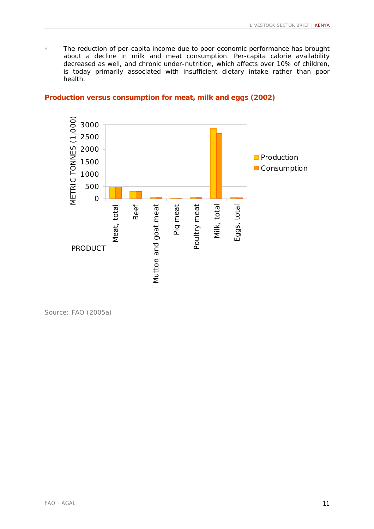**The reduction of per-capita income due to poor economic performance has brought** about a decline in milk and meat consumption. Per-capita calorie availability decreased as well, and chronic under-nutrition, which affects over 10% of children, is today primarily associated with insufficient dietary intake rather than poor health.

#### **Production versus consumption for meat, milk and eggs (2002)**

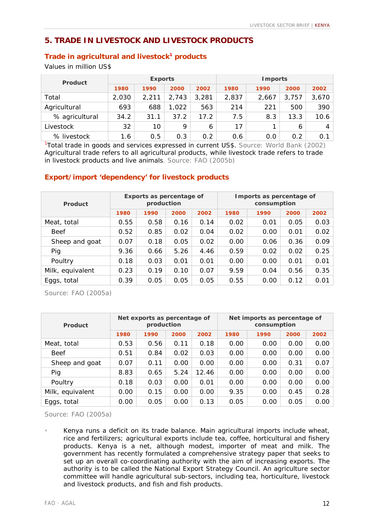### **5. TRADE IN LIVESTOCK AND LIVESTOCK PRODUCTS**

#### **Trade in agricultural and livestock<sup>1</sup> products**

Values in million US\$

| <b>Product</b> |       | <b>Exports</b> |       |       | <b>Imports</b> |       |       |                |
|----------------|-------|----------------|-------|-------|----------------|-------|-------|----------------|
|                | 1980  | 1990           | 2000  | 2002  | 1980           | 1990  | 2000  | 2002           |
| Total          | 2,030 | 2.211          | 2.743 | 3,281 | 2,837          | 2,667 | 3.757 | 3,670          |
| Agricultural   | 693   | 688            | 1,022 | 563   | 214            | 221   | 500   | 390            |
| % agricultural | 34.2  | 31.1           | 37.2  | 17.2  | 7.5            | 8.3   | 13.3  | 10.6           |
| Livestock      | 32    | 10             | 9     | 6     | 17             |       | 6     | $\overline{4}$ |
| % livestock    | 1.6   | 0.5            | 0.3   | 0.2   | 0.6            | 0.0   | 0.2   | 0.1            |

<sup>1</sup>Total trade in goods and services expressed in current US\$. Source: World Bank (2002) Agricultural trade refers to all agricultural products, while livestock trade refers to trade in livestock products and live animals. Source: FAO (2005b)

#### **Export/import 'dependency' for livestock products**

| <b>Product</b>   |      | Exports as percentage of<br>production |      |      | Imports as percentage of<br>consumption |      |      |      |  |  |
|------------------|------|----------------------------------------|------|------|-----------------------------------------|------|------|------|--|--|
|                  | 1980 | 1990                                   | 2000 | 2002 | 1980                                    | 1990 | 2000 | 2002 |  |  |
| Meat, total      | 0.55 | 0.58                                   | 0.16 | 0.14 | 0.02                                    | 0.01 | 0.05 | 0.03 |  |  |
| <b>Beef</b>      | 0.52 | 0.85                                   | 0.02 | 0.04 | 0.02                                    | 0.00 | 0.01 | 0.02 |  |  |
| Sheep and goat   | 0.07 | 0.18                                   | 0.05 | 0.02 | 0.00                                    | 0.06 | 0.36 | 0.09 |  |  |
| Pig              | 9.36 | 0.66                                   | 5.26 | 4.46 | 0.59                                    | 0.02 | 0.02 | 0.25 |  |  |
| Poultry          | 0.18 | 0.03                                   | 0.01 | 0.01 | 0.00                                    | 0.00 | 0.01 | 0.01 |  |  |
| Milk, equivalent | 0.23 | 0.19                                   | 0.10 | 0.07 | 9.59                                    | 0.04 | 0.56 | 0.35 |  |  |
| Eggs, total      | 0.39 | 0.05                                   | 0.05 | 0.05 | 0.55                                    | 0.00 | 0.12 | 0.01 |  |  |

Source: FAO (2005a)

| Product          |      | Net exports as percentage of<br>production |      |       | Net imports as percentage of<br>consumption |      |      |      |  |
|------------------|------|--------------------------------------------|------|-------|---------------------------------------------|------|------|------|--|
|                  | 1980 | 1990                                       | 2000 | 2002  | 1980                                        | 1990 | 2000 | 2002 |  |
| Meat, total      | 0.53 | 0.56                                       | 0.11 | 0.18  | 0.00                                        | 0.00 | 0.00 | 0.00 |  |
| <b>Beef</b>      | 0.51 | 0.84                                       | 0.02 | 0.03  | 0.00                                        | 0.00 | 0.00 | 0.00 |  |
| Sheep and goat   | 0.07 | 0.11                                       | 0.00 | 0.00  | 0.00                                        | 0.00 | 0.31 | 0.07 |  |
| Pig              | 8.83 | 0.65                                       | 5.24 | 12.46 | 0.00                                        | 0.00 | 0.00 | 0.00 |  |
| Poultry          | 0.18 | 0.03                                       | 0.00 | 0.01  | 0.00                                        | 0.00 | 0.00 | 0.00 |  |
| Milk, equivalent | 0.00 | 0.15                                       | 0.00 | 0.00  | 9.35                                        | 0.00 | 0.45 | 0.28 |  |
| Eggs, total      | 0.00 | 0.05                                       | 0.00 | 0.13  | 0.05                                        | 0.00 | 0.05 | 0.00 |  |

Kenya runs a deficit on its trade balance. Main agricultural imports include wheat, rice and fertilizers; agricultural exports include tea, coffee, horticultural and fishery products. Kenya is a net, although modest, importer of meat and milk. The government has recently formulated a comprehensive strategy paper that seeks to set up an overall co-coordinating authority with the aim of increasing exports. The authority is to be called the National Export Strategy Council. An agriculture sector committee will handle agricultural sub-sectors, including tea, horticulture, livestock and livestock products, and fish and fish products.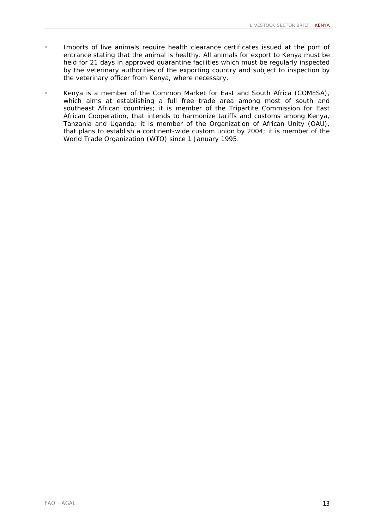- ! Imports of live animals require health clearance certificates issued at the port of entrance stating that the animal is healthy. All animals for export to Kenya must be held for 21 days in approved quarantine facilities which must be regularly inspected by the veterinary authorities of the exporting country and subject to inspection by the veterinary officer from Kenya, where necessary.
- ! Kenya is a member of the Common Market for East and South Africa (COMESA), which aims at establishing a full free trade area among most of south and southeast African countries; it is member of the Tripartite Commission for East African Cooperation, that intends to harmonize tariffs and customs among Kenya, Tanzania and Uganda; it is member of the Organization of African Unity (OAU), that plans to establish a continent-wide custom union by 2004; it is member of the World Trade Organization (WTO) since 1 January 1995.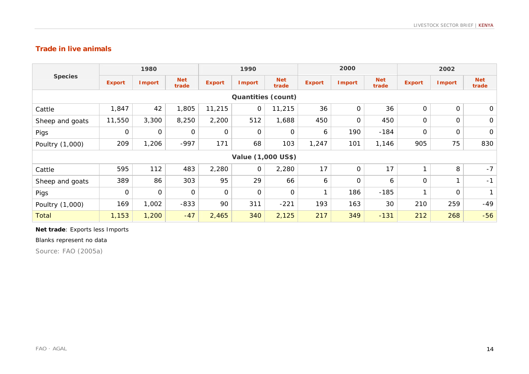### **Trade in live animals**

| <b>Species</b>            | 1980                      |               |                     | 1990          |               |                     | 2000          |               |                     | 2002          |               |                     |
|---------------------------|---------------------------|---------------|---------------------|---------------|---------------|---------------------|---------------|---------------|---------------------|---------------|---------------|---------------------|
|                           | <b>Export</b>             | <b>Import</b> | <b>Net</b><br>trade | <b>Export</b> | <b>Import</b> | <b>Net</b><br>trade | <b>Export</b> | <b>Import</b> | <b>Net</b><br>trade | <b>Export</b> | <b>Import</b> | <b>Net</b><br>trade |
| <b>Quantities (count)</b> |                           |               |                     |               |               |                     |               |               |                     |               |               |                     |
| Cattle                    | 1,847                     | 42            | 1,805               | 11,215        | $\mathsf O$   | 11,215              | 36            | $\mathbf 0$   | 36                  | 0             | $\mathsf O$   | $\mathbf 0$         |
| Sheep and goats           | 11,550                    | 3,300         | 8,250               | 2,200         | 512           | 1,688               | 450           | $\mathbf 0$   | 450                 | 0             | $\mathbf 0$   | $\mathbf 0$         |
| Pigs                      | $\mathbf 0$               | $\mathbf 0$   | 0                   | $\mathbf 0$   | $\mathsf O$   | $\mathbf 0$         | 6             | 190           | $-184$              | 0             | 0             | $\mathbf 0$         |
| Poultry (1,000)           | 209                       | 1,206         | $-997$              | 171           | 68            | 103                 | 1,247         | 101           | 1,146               | 905           | 75            | 830                 |
|                           | <b>Value (1,000 US\$)</b> |               |                     |               |               |                     |               |               |                     |               |               |                     |
| Cattle                    | 595                       | 112           | 483                 | 2,280         | $\mathbf{O}$  | 2,280               | 17            | $\mathbf 0$   | 17                  |               | 8             | $-7$                |
| Sheep and goats           | 389                       | 86            | 303                 | 95            | 29            | 66                  | 6             | $\mathbf 0$   | 6                   | O             |               | $-1$                |
| Pigs                      | $\mathsf O$               | $\mathbf 0$   | 0                   | $\mathbf 0$   | $\mathbf 0$   | $\mathbf 0$         | 1             | 186           | $-185$              | 1             | 0             | $\mathbf{1}$        |
| Poultry (1,000)           | 169                       | 1,002         | $-833$              | 90            | 311           | $-221$              | 193           | 163           | 30                  | 210           | 259           | $-49$               |
| <b>Total</b>              | 1,153                     | 1,200         | $-47$               | 2,465         | 340           | 2,125               | 217           | 349           | $-131$              | 212           | 268           | $-56$               |

#### **Net trade**: Exports less Imports

Blanks represent no data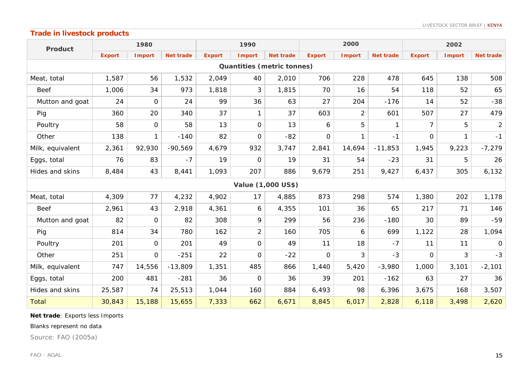### **Trade in livestock products**

| <b>Product</b>                    | 1980          |                |                  | 1990          |                |                           | 2000           |                |                  | 2002           |               |                  |
|-----------------------------------|---------------|----------------|------------------|---------------|----------------|---------------------------|----------------|----------------|------------------|----------------|---------------|------------------|
|                                   | <b>Export</b> | <b>I</b> mport | <b>Net trade</b> | <b>Export</b> | <b>I</b> mport | <b>Net trade</b>          | <b>Export</b>  | <b>Import</b>  | <b>Net trade</b> | <b>Export</b>  | <b>Import</b> | <b>Net trade</b> |
| <b>Quantities (metric tonnes)</b> |               |                |                  |               |                |                           |                |                |                  |                |               |                  |
| Meat, total                       | 1,587         | 56             | 1,532            | 2,049         | 40             | 2,010                     | 706            | 228            | 478              | 645            | 138           | 508              |
| <b>Beef</b>                       | 1,006         | 34             | 973              | 1,818         | 3              | 1,815                     | 70             | 16             | 54               | 118            | 52            | 65               |
| Mutton and goat                   | 24            | $\mathsf{O}$   | 24               | 99            | 36             | 63                        | 27             | 204            | $-176$           | 14             | 52            | $-38$            |
| Pig                               | 360           | 20             | 340              | 37            | $\mathbf{1}$   | 37                        | 603            | $\overline{2}$ | 601              | 507            | 27            | 479              |
| Poultry                           | 58            | $\mathbf 0$    | 58               | 13            | $\mathbf{O}$   | 13                        | 6              | 5              | $\mathbf{1}$     | $\overline{7}$ | 5             | $\overline{a}$   |
| Other                             | 138           | 1              | $-140$           | 82            | $\mathbf{O}$   | $-82$                     | $\overline{O}$ | $\mathbf{1}$   | $-1$             | $\overline{O}$ | $\mathbf{1}$  | $-1$             |
| Milk, equivalent                  | 2,361         | 92,930         | $-90,569$        | 4,679         | 932            | 3,747                     | 2,841          | 14,694         | $-11,853$        | 1,945          | 9,223         | $-7,279$         |
| Eggs, total                       | 76            | 83             | $-7$             | 19            | 0              | 19                        | 31             | 54             | $-23$            | 31             | 5             | 26               |
| Hides and skins                   | 8,484         | 43             | 8,441            | 1,093         | 207            | 886                       | 9,679          | 251            | 9,427            | 6,437          | 305           | 6,132            |
|                                   |               |                |                  |               |                | <b>Value (1,000 US\$)</b> |                |                |                  |                |               |                  |
| Meat, total                       | 4,309         | 77             | 4,232            | 4,902         | 17             | 4,885                     | 873            | 298            | 574              | 1,380          | 202           | 1,178            |
| <b>Beef</b>                       | 2,961         | 43             | 2,918            | 4,361         | 6              | 4,355                     | 101            | 36             | 65               | 217            | 71            | 146              |
| Mutton and goat                   | 82            | $\mathbf 0$    | 82               | 308           | 9              | 299                       | 56             | 236            | $-180$           | 30             | 89            | $-59$            |
| Pig                               | 814           | 34             | 780              | 162           | $\overline{c}$ | 160                       | 705            | 6              | 699              | 1,122          | 28            | 1,094            |
| Poultry                           | 201           | 0              | 201              | 49            | $\mathbf{O}$   | 49                        | 11             | 18             | $-7$             | 11             | 11            | $\overline{O}$   |
| Other                             | 251           | $\mathbf 0$    | $-251$           | 22            | $\mathbf{O}$   | $-22$                     | $\mathsf{O}$   | 3              | $-3$             | $\Omega$       | 3             | $-3$             |
| Milk, equivalent                  | 747           | 14,556         | $-13,809$        | 1,351         | 485            | 866                       | 1,440          | 5,420          | $-3,980$         | 1,000          | 3,101         | $-2,101$         |
| Eggs, total                       | 200           | 481            | $-281$           | 36            | $\mathbf{O}$   | 36                        | 39             | 201            | $-162$           | 63             | 27            | 36               |
| Hides and skins                   | 25,587        | 74             | 25,513           | 1,044         | 160            | 884                       | 6,493          | 98             | 6,396            | 3,675          | 168           | 3,507            |
| Total                             | 30,843        | 15,188         | 15,655           | 7,333         | 662            | 6,671                     | 8,845          | 6,017          | 2,828            | 6,118          | 3,498         | 2,620            |

**Net trade**: Exports less Imports

#### Blanks represent no data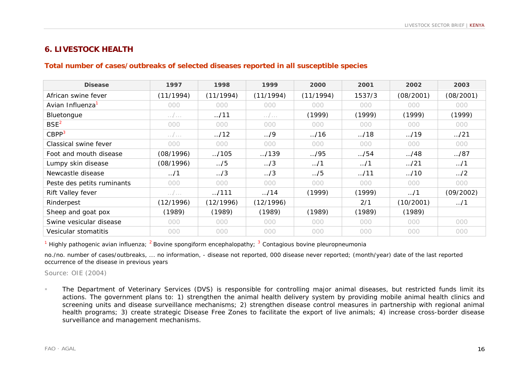# **6. LIVESTOCK HEALTH**

#### **Total number of cases/outbreaks of selected diseases reported in all susceptible species**

| <b>Disease</b>               | 1997                | 1998          | 1999              | 2000         | 2001         | 2002         | 2003         |
|------------------------------|---------------------|---------------|-------------------|--------------|--------------|--------------|--------------|
| African swine fever          | (11/1994)           | (11/1994)     | (11/1994)         | (11/1994)    | 1537/3       | (08/2001)    | (08/2001)    |
| Avian Influenza <sup>1</sup> | 000                 | 000           | 000               | 000          | 000          | 000          | 000          |
| Bluetongue                   | $\ldots$ / $\ldots$ | $\ldots$ /11  | $\ldots / \ldots$ | (1999)       | (1999)       | (1999)       | (1999)       |
| BSE <sup>2</sup>             | 000                 | 000           | 000               | 000          | 000          | 000          | 000          |
| CBPP <sup>3</sup>            | . /                 | $\ldots$ /12  | $\ldots$ /9       | $\ldots$ /16 | $\ldots$ /18 | $\ldots$ /19 | $\ldots$ /21 |
| Classical swine fever        | 000                 | 000           | 000               | 000          | 000          | 000          | 000          |
| Foot and mouth disease       | (08/1996)           | $\ldots$ /105 | $-.139$           | $\ldots$ /95 | $\ldots$ /54 | M/48         | M/87         |
| Lumpy skin disease           | (08/1996)           | $\ldots$ /5   | $\ldots/3$        | $\dots/1$    | $\ldots$ /1  | $\ldots$ /21 | $\ldots$ /1  |
| Newcastle disease            | $\ldots$ /1         | $\ldots/3$    | $\ldots/3$        | $\ldots$ /5  | $\ldots$ /11 | $\ldots$ /10 | $\ldots$ /2  |
| Peste des petits ruminants   | 000                 | 000           | 000               | 000          | 000          | 000          | 000          |
| Rift Valley fever            | . /                 | $-.111$       | $\ldots$ /14      | (1999)       | (1999)       | $\dots/1$    | (09/2002)    |
| Rinderpest                   | (12/1996)           | (12/1996)     | (12/1996)         |              | 2/1          | (10/2001)    | $\dots/1$    |
| Sheep and goat pox           | (1989)              | (1989)        | (1989)            | (1989)       | (1989)       | (1989)       |              |
| Swine vesicular disease      | 000                 | 000           | 000               | 000          | 000          | 000          | 000          |
| Vesicular stomatitis         | 000                 | 000           | 000               | 000          | 000          | 000          | 000          |

<sup>1</sup> Highly pathogenic avian influenza; <sup>2</sup> Bovine spongiform encephalopathy; <sup>3</sup> Contagious bovine pleuropneumonia

no./no. number of cases/outbreaks, ... no information, - disease not reported, 000 disease never reported; (month/year) date of the last reported occurrence of the disease in previous years

#### Source: OIE (2004)

! The Department of Veterinary Services (DVS) is responsible for controlling major animal diseases, but restricted funds limit its actions. The government plans to: 1) strengthen the animal health delivery system by providing mobile animal health clinics and screening units and disease surveillance mechanisms; 2) strengthen disease control measures in partnership with regional animal health programs; 3) create strategic Disease Free Zones to facilitate the export of live animals; 4) increase cross-border disease surveillance and management mechanisms.